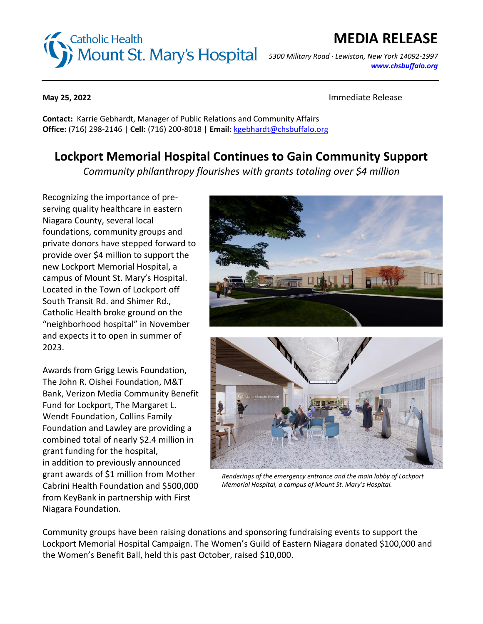# **Catholic Health**  *5300 Military Road · Lewiston, New York 14092-1997*

### **MEDIA RELEASE**

*[www.chsbuffalo.org](http://www.chsbuffalo.org/)*

**May 25, 2022** Immediate Release

**Contact:** Karrie Gebhardt, Manager of Public Relations and Community Affairs **Office:** (716) 298-2146 | **Cell:** (716) 200-8018 | **Email:** [kgebhardt@chsbuffalo.org](mailto:kgebhardt@chsbuffalo.org)

### **Lockport Memorial Hospital Continues to Gain Community Support**

*Community philanthropy flourishes with grants totaling over \$4 million*

Recognizing the importance of preserving quality healthcare in eastern Niagara County, several local foundations, community groups and private donors have stepped forward to provide over \$4 million to support the new Lockport Memorial Hospital, a campus of Mount St. Mary's Hospital. Located in the Town of Lockport off South Transit Rd. and Shimer Rd., Catholic Health broke ground on the "neighborhood hospital" in November and expects it to open in summer of 2023.

Awards from Grigg Lewis Foundation, The John R. Oishei Foundation, M&T Bank, Verizon Media Community Benefit Fund for Lockport, The Margaret L. Wendt Foundation, Collins Family Foundation and Lawley are providing a combined total of nearly \$2.4 million in grant funding for the hospital, in addition to previously announced grant awards of \$1 million from Mother Cabrini Health Foundation and \$500,000 from KeyBank in partnership with First Niagara Foundation.





*Renderings of the emergency entrance and the main lobby of Lockport Memorial Hospital, a campus of Mount St. Mary's Hospital.*

Community groups have been raising donations and sponsoring fundraising events to support the Lockport Memorial Hospital Campaign. The Women's Guild of Eastern Niagara donated \$100,000 and the Women's Benefit Ball, held this past October, raised \$10,000.